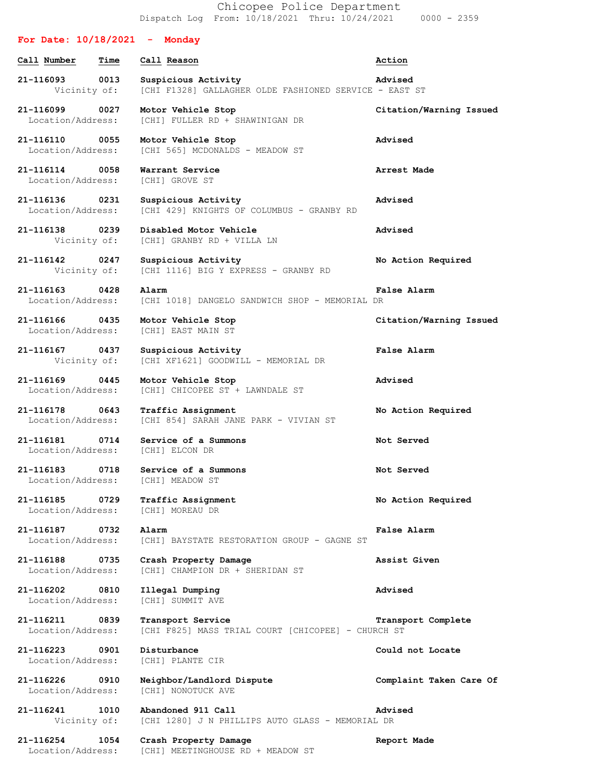Chicopee Police Department Dispatch Log From: 10/18/2021 Thru: 10/24/2021 0000 - 2359

## **For Date: 10/18/2021 - Monday Call Number Time Call Reason Action 21-116093 0013 Suspicious Activity Advised** Vicinity of: [CHI F1328] GALLAGHER OLDE FASHIONED SERVICE - EAST ST **21-116099 0027 Motor Vehicle Stop Citation/Warning Issued** Location/Address: [CHI] FULLER RD + SHAWINIGAN DR **21-116110 0055 Motor Vehicle Stop Advised** Location/Address: [CHI 565] MCDONALDS - MEADOW ST **21-116114 0058 Warrant Service Arrest Made** Location/Address: [CHI] GROVE ST **21-116136 0231 Suspicious Activity Advised** Location/Address: [CHI 429] KNIGHTS OF COLUMBUS - GRANBY RD **21-116138 0239 Disabled Motor Vehicle Advised** Vicinity of: [CHI] GRANBY RD + VILLA LN **21-116142 0247 Suspicious Activity No Action Required** Vicinity of: [CHI 1116] BIG Y EXPRESS - GRANBY RD **21-116163 0428 Alarm False Alarm** Location/Address: [CHI 1018] DANGELO SANDWICH SHOP - MEMORIAL DR **21-116166 0435 Motor Vehicle Stop Citation/Warning Issued** Location/Address: [CHI] EAST MAIN ST **21-116167 0437 Suspicious Activity False Alarm** Vicinity of: [CHI XF1621] GOODWILL - MEMORIAL DR **21-116169 0445 Motor Vehicle Stop Advised** Location/Address: [CHI] CHICOPEE ST + LAWNDALE ST **21-116178 0643 Traffic Assignment No Action Required** Location/Address: [CHI 854] SARAH JANE PARK - VIVIAN ST **21-116181 0714 Service of a Summons Not Served** Location/Address: [CHI] ELCON DR **21-116183 0718 Service of a Summons Not Served** Location/Address: [CHI] MEADOW ST **21-116185 0729 Traffic Assignment No Action Required** Location/Address: [CHI] MOREAU DR **21-116187 0732 Alarm False Alarm** Location/Address: [CHI] BAYSTATE RESTORATION GROUP - GAGNE ST **21-116188 0735 Crash Property Damage Assist Given** Location/Address: [CHI] CHAMPION DR + SHERIDAN ST **21-116202 0810 Illegal Dumping Advised** Location/Address: [CHI] SUMMIT AVE **21-116211 0839 Transport Service Transport Complete** Location/Address: [CHI F825] MASS TRIAL COURT [CHICOPEE] - CHURCH ST **21-116223 0901 Disturbance Could not Locate** Location/Address: [CHI] PLANTE CIR **21-116226 0910 Neighbor/Landlord Dispute Complaint Taken Care Of** Location/Address: [CHI] NONOTUCK AVE **21-116241 1010 Abandoned 911 Call Advised** Vicinity of: [CHI 1280] J N PHILLIPS AUTO GLASS - MEMORIAL DR **21-116254 1054 Crash Property Damage Report Made** Location/Address: [CHI] MEETINGHOUSE RD + MEADOW ST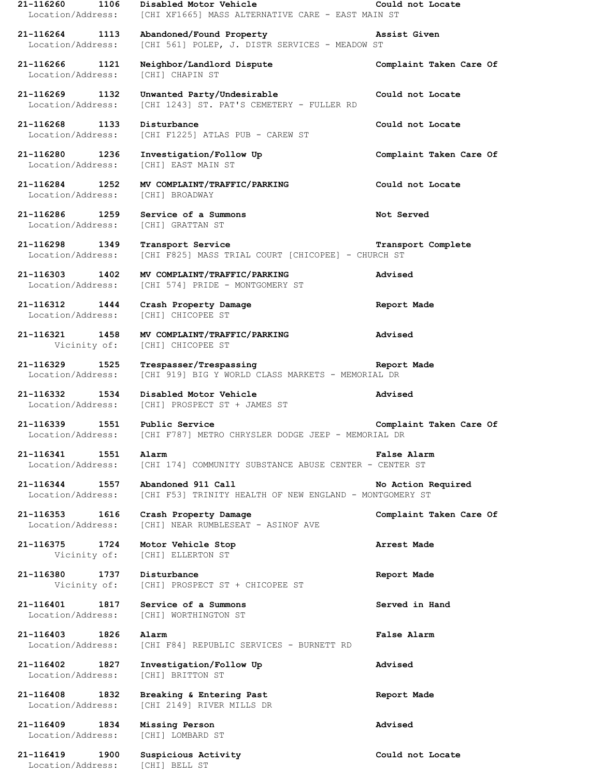**21-116260 1106 Disabled Motor Vehicle Could not Locate** Location/Address: [CHI XF1665] MASS ALTERNATIVE CARE - EAST MAIN ST **21-116264 1113 Abandoned/Found Property Assist Given** Location/Address: [CHI 561] POLEP, J. DISTR SERVICES - MEADOW ST **21-116266 1121 Neighbor/Landlord Dispute Complaint Taken Care Of** Location/Address: [CHI] CHAPIN ST **21-116269 1132 Unwanted Party/Undesirable Could not Locate** Location/Address: [CHI 1243] ST. PAT'S CEMETERY - FULLER RD **21-116268 1133 Disturbance Could not Locate** Location/Address: [CHI F1225] ATLAS PUB - CAREW ST **21-116280 1236 Investigation/Follow Up Complaint Taken Care Of** Location/Address: [CHI] EAST MAIN ST **21-116284 1252 MV COMPLAINT/TRAFFIC/PARKING Could not Locate** Location/Address: [CHI] BROADWAY **21-116286 1259 Service of a Summons Not Served** Location/Address: [CHI] GRATTAN ST **21-116298 1349 Transport Service Transport Complete** Location/Address: [CHI F825] MASS TRIAL COURT [CHICOPEE] - CHURCH ST **21-116303 1402 MV COMPLAINT/TRAFFIC/PARKING Advised** Location/Address: [CHI 574] PRIDE - MONTGOMERY ST **21-116312 1444 Crash Property Damage Report Made** Location/Address: [CHI] CHICOPEE ST **21-116321 1458 MV COMPLAINT/TRAFFIC/PARKING Advised** Vicinity of: [CHI] CHICOPEE ST **21-116329 1525 Trespasser/Trespassing Report Made** Location/Address: [CHI 919] BIG Y WORLD CLASS MARKETS - MEMORIAL DR **21-116332 1534 Disabled Motor Vehicle Advised** Location/Address: [CHI] PROSPECT ST + JAMES ST **21-116339 1551 Public Service Complaint Taken Care Of** Location/Address: [CHI F787] METRO CHRYSLER DODGE JEEP - MEMORIAL DR **21-116341 1551 Alarm False Alarm** Location/Address: [CHI 174] COMMUNITY SUBSTANCE ABUSE CENTER - CENTER ST **21-116344 1557 Abandoned 911 Call No Action Required** Location/Address: [CHI F53] TRINITY HEALTH OF NEW ENGLAND - MONTGOMERY ST **21-116353 1616 Crash Property Damage Complaint Taken Care Of** Location/Address: [CHI] NEAR RUMBLESEAT - ASINOF AVE **21-116375 1724 Motor Vehicle Stop Arrest Made** Vicinity of: [CHI] ELLERTON ST **21-116380 1737 Disturbance Report Made** Vicinity of: [CHI] PROSPECT ST + CHICOPEE ST **21-116401 1817 Service of a Summons Served in Hand** Location/Address: [CHI] WORTHINGTON ST **21-116403 1826 Alarm False Alarm** Location/Address: [CHI F84] REPUBLIC SERVICES - BURNETT RD **21-116402 1827 Investigation/Follow Up Advised** Location/Address: [CHI] BRITTON ST **21-116408 1832 Breaking & Entering Past Report Made** Location/Address: [CHI 2149] RIVER MILLS DR **21-116409 1834 Missing Person Advised** Location/Address: [CHI] LOMBARD ST **21-116419 1900 Suspicious Activity Could not Locate** Location/Address: [CHI] BELL ST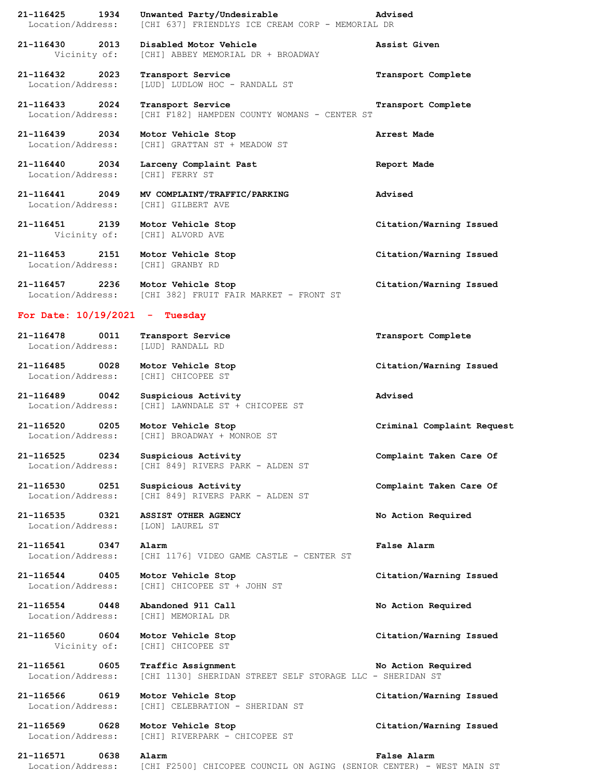| 21-116425<br>Location/Address:      | 1934 | Unwanted Party/Undesirable<br>[CHI 637] FRIENDLYS ICE CREAM CORP - MEMORIAL DR  | Advised                    |
|-------------------------------------|------|---------------------------------------------------------------------------------|----------------------------|
| 21-116430 2013<br>Vicinity of:      |      | Disabled Motor Vehicle<br>[CHI] ABBEY MEMORIAL DR + BROADWAY                    | Assist Given               |
| 21-116432 2023<br>Location/Address: |      | Transport Service<br>[LUD] LUDLOW HOC - RANDALL ST                              | Transport Complete         |
| 21-116433 2024<br>Location/Address: |      | Transport Service<br>[CHI F182] HAMPDEN COUNTY WOMANS - CENTER ST               | Transport Complete         |
| 21-116439 2034<br>Location/Address: |      | Motor Vehicle Stop<br>[CHI] GRATTAN ST + MEADOW ST                              | Arrest Made                |
| 21-116440 2034<br>Location/Address: |      | Larceny Complaint Past<br>[CHI] FERRY ST                                        | Report Made                |
| 21-116441 2049<br>Location/Address: |      | MV COMPLAINT/TRAFFIC/PARKING<br>[CHI] GILBERT AVE                               | Advised                    |
| 21-116451 2139<br>Vicinity of:      |      | Motor Vehicle Stop<br>[CHI] ALVORD AVE                                          | Citation/Warning Issued    |
| 21-116453 2151<br>Location/Address: |      | Motor Vehicle Stop<br>[CHI] GRANBY RD                                           | Citation/Warning Issued    |
| 21-116457 2236                      |      | Motor Vehicle Stop<br>Location/Address: [CHI 382] FRUIT FAIR MARKET - FRONT ST  | Citation/Warning Issued    |
| For Date: $10/19/2021$ - Tuesday    |      |                                                                                 |                            |
| 21-116478 0011<br>Location/Address: |      | Transport Service<br>[LUD] RANDALL RD                                           | Transport Complete         |
| 21-116485 0028<br>Location/Address: |      | Motor Vehicle Stop<br>[CHI] CHICOPEE ST                                         | Citation/Warning Issued    |
| 21-116489 0042<br>Location/Address: |      | Suspicious Activity<br>[CHI] LAWNDALE ST + CHICOPEE ST                          | Advised                    |
| 21-116520 0205                      |      | Motor Vehicle Stop<br>Location/Address: [CHI] BROADWAY + MONROE ST              | Criminal Complaint Request |
| 21-116525<br>Location/Address:      | 0234 | Suspicious Activity<br>[CHI 849] RIVERS PARK - ALDEN ST                         | Complaint Taken Care Of    |
| 21-116530<br>Location/Address:      | 0251 | Suspicious Activity<br>[CHI 849] RIVERS PARK - ALDEN ST                         | Complaint Taken Care Of    |
| 21-116535 0321<br>Location/Address: |      | ASSIST OTHER AGENCY<br>[LON] LAUREL ST                                          | No Action Required         |
| 21-116541<br>Location/Address:      | 0347 | Alarm<br>[CHI 1176] VIDEO GAME CASTLE - CENTER ST                               | <b>False Alarm</b>         |
| 21-116544 0405<br>Location/Address: |      | Motor Vehicle Stop<br>[CHI] CHICOPEE ST + JOHN ST                               | Citation/Warning Issued    |
| 21-116554 0448<br>Location/Address: |      | Abandoned 911 Call<br>[CHI] MEMORIAL DR                                         | No Action Required         |
| 21-116560<br>Vicinity of:           | 0604 | Motor Vehicle Stop<br>[CHI] CHICOPEE ST                                         | Citation/Warning Issued    |
| 21-116561<br>Location/Address:      | 0605 | Traffic Assignment<br>[CHI 1130] SHERIDAN STREET SELF STORAGE LLC - SHERIDAN ST | No Action Required         |
| 21-116566<br>Location/Address:      | 0619 | Motor Vehicle Stop<br>[CHI] CELEBRATION - SHERIDAN ST                           | Citation/Warning Issued    |
| 21-116569<br>Location/Address:      | 0628 | Motor Vehicle Stop<br>[CHI] RIVERPARK - CHICOPEE ST                             | Citation/Warning Issued    |

**21-116571 0638 Alarm False Alarm** Location/Address: [CHI F2500] CHICOPEE COUNCIL ON AGING (SENIOR CENTER) - WEST MAIN ST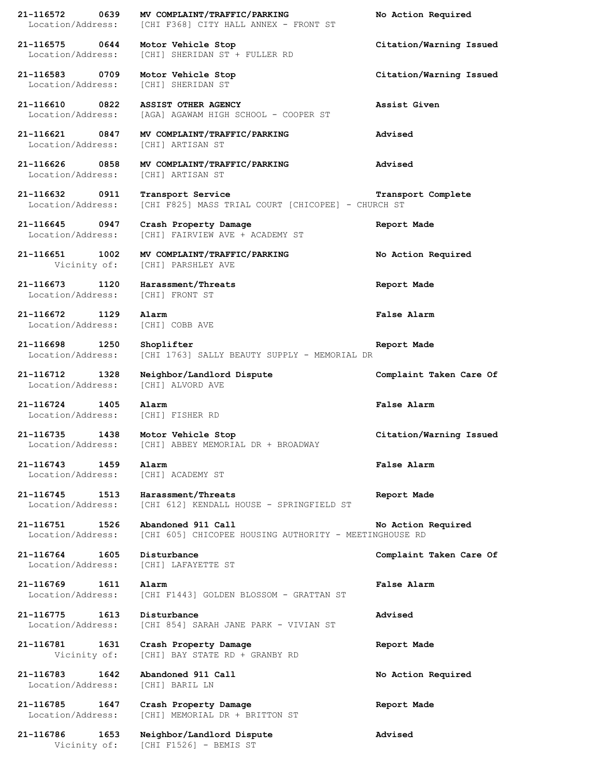**21-116572 0639 MV COMPLAINT/TRAFFIC/PARKING No Action Required** Location/Address: [CHI F368] CITY HALL ANNEX - FRONT ST **21-116575 0644 Motor Vehicle Stop Citation/Warning Issued** Location/Address: [CHI] SHERIDAN ST + FULLER RD **21-116583 0709 Motor Vehicle Stop Citation/Warning Issued** Location/Address: [CHI] SHERIDAN ST **21-116610 0822 ASSIST OTHER AGENCY Assist Given** Location/Address: [AGA] AGAWAM HIGH SCHOOL - COOPER ST **21-116621 0847 MV COMPLAINT/TRAFFIC/PARKING Advised** Location/Address: [CHI] ARTISAN ST **21-116626 0858 MV COMPLAINT/TRAFFIC/PARKING Advised** Location/Address: [CHI] ARTISAN ST **21-116632 0911 Transport Service Transport Complete** Location/Address: [CHI F825] MASS TRIAL COURT [CHICOPEE] - CHURCH ST **21-116645 0947 Crash Property Damage Report Made** Location/Address: [CHI] FAIRVIEW AVE + ACADEMY ST **21-116651 1002 MV COMPLAINT/TRAFFIC/PARKING No Action Required** Vicinity of: [CHI] PARSHLEY AVE **21-116673 1120 Harassment/Threats Report Made** Location/Address: [CHI] FRONT ST **21-116672 1129 Alarm False Alarm** Location/Address: [CHI] COBB AVE **21-116698 1250 Shoplifter Report Made** Location/Address: [CHI 1763] SALLY BEAUTY SUPPLY - MEMORIAL DR **21-116712 1328 Neighbor/Landlord Dispute Complaint Taken Care Of** Location/Address: [CHI] ALVORD AVE **21-116724 1405 Alarm False Alarm** Location/Address: [CHI] FISHER RD **21-116735 1438 Motor Vehicle Stop Citation/Warning Issued** [CHI] ABBEY MEMORIAL DR + BROADWAY **21-116743 1459 Alarm False Alarm** Location/Address: [CHI] ACADEMY ST **21-116745 1513 Harassment/Threats Report Made** Location/Address: [CHI 612] KENDALL HOUSE - SPRINGFIELD ST **21-116751 1526 Abandoned 911 Call No Action Required** Location/Address: [CHI 605] CHICOPEE HOUSING AUTHORITY - MEETINGHOUSE RD **21-116764 1605 Disturbance Complaint Taken Care Of** Location/Address: [CHI] LAFAYETTE ST **21-116769 1611 Alarm False Alarm** Location/Address: [CHI F1443] GOLDEN BLOSSOM - GRATTAN ST **21-116775 1613 Disturbance Advised** Location/Address: [CHI 854] SARAH JANE PARK - VIVIAN ST **21-116781 1631 Crash Property Damage Report Made** Vicinity of: [CHI] BAY STATE RD + GRANBY RD **21-116783 1642 Abandoned 911 Call No Action Required** Location/Address: [CHI] BARIL LN **21-116785 1647 Crash Property Damage Report Made** Location/Address: [CHI] MEMORIAL DR + BRITTON ST **21-116786 1653 Neighbor/Landlord Dispute Advised** Vicinity of: [CHI F1526] - BEMIS ST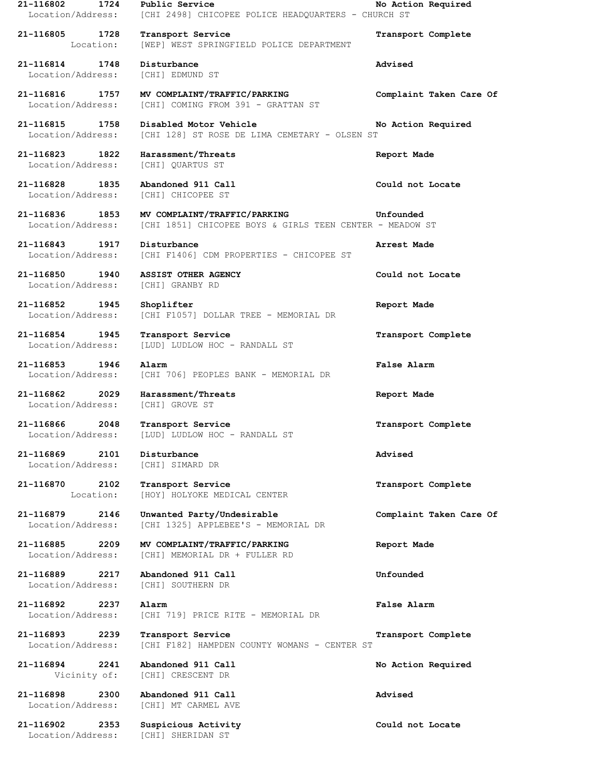| 1724<br>21-116802                                    | Public Service<br>Location/Address: [CHI 2498] CHICOPEE POLICE HEADQUARTERS - CHURCH ST                                                  | No Action Required      |
|------------------------------------------------------|------------------------------------------------------------------------------------------------------------------------------------------|-------------------------|
| 21-116805 1728<br>Location:                          | Transport Service<br>[WEP] WEST SPRINGFIELD POLICE DEPARTMENT                                                                            | Transport Complete      |
| 21-116814 1748<br>Location/Address:                  | Disturbance<br>[CHI] EDMUND ST                                                                                                           | Advised                 |
| 21-116816 1757                                       | MV COMPLAINT/TRAFFIC/PARKING<br>Location/Address: [CHI] COMING FROM 391 - GRATTAN ST                                                     | Complaint Taken Care Of |
| 21-116815 1758<br>Location/Address:                  | Disabled Motor Vehicle<br>[CHI 128] ST ROSE DE LIMA CEMETARY - OLSEN ST                                                                  | No Action Required      |
| 21-116823 1822<br>Location/Address: [CHI] QUARTUS ST | Harassment/Threats                                                                                                                       | Report Made             |
| 21-116828 1835<br>Location/Address:                  | Abandoned 911 Call<br>[CHI] CHICOPEE ST                                                                                                  | Could not Locate        |
|                                                      | 21-116836 1853 MV COMPLAINT/TRAFFIC/PARKING Same Unfounded<br>Location/Address: [CHI 1851] CHICOPEE BOYS & GIRLS TEEN CENTER - MEADOW ST |                         |
| 21-116843 1917                                       | Disturbance<br>Location/Address: [CHI F1406] CDM PROPERTIES - CHICOPEE ST                                                                | Arrest Made             |
| 21-116850 1940<br>Location/Address: [CHI] GRANBY RD  | ASSIST OTHER AGENCY                                                                                                                      | Could not Locate        |
| 21-116852 1945<br>Location/Address:                  | Shoplifter<br>[CHI F1057] DOLLAR TREE - MEMORIAL DR                                                                                      | Report Made             |
| 21-116854 1945<br>Location/Address:                  | Transport Service<br>[LUD] LUDLOW HOC - RANDALL ST                                                                                       | Transport Complete      |
| 21-116853 1946                                       | Alarm<br>Location/Address: [CHI 706] PEOPLES BANK - MEMORIAL DR                                                                          | <b>False Alarm</b>      |
| 21-116862 2029<br>Location/Address:                  | Harassment/Threats<br>[CHI] GROVE ST                                                                                                     | Report Made             |
| 21-116866 2048<br>Location/Address:                  | Transport Service<br>[LUD] LUDLOW HOC - RANDALL ST                                                                                       | Transport Complete      |
| 21-116869<br>2101<br>Location/Address:               | Disturbance<br>[CHI] SIMARD DR                                                                                                           | Advised                 |
| 21-116870 2102<br>Location:                          | Transport Service<br>[HOY] HOLYOKE MEDICAL CENTER                                                                                        | Transport Complete      |
| 21-116879<br>2146<br>Location/Address:               | Unwanted Party/Undesirable<br>[CHI 1325] APPLEBEE'S - MEMORIAL DR                                                                        | Complaint Taken Care Of |
| 21-116885<br>2209<br>Location/Address:               | MV COMPLAINT/TRAFFIC/PARKING<br>[CHI] MEMORIAL DR + FULLER RD                                                                            | Report Made             |
| 21-116889 2217<br>Location/Address:                  | Abandoned 911 Call<br>[CHI] SOUTHERN DR                                                                                                  | Unfounded               |
| 21-116892<br>2237<br>Location/Address:               | Alarm<br>[CHI 719] PRICE RITE - MEMORIAL DR                                                                                              | False Alarm             |
| 21-116893<br>2239<br>Location/Address:               | Transport Service<br>[CHI F182] HAMPDEN COUNTY WOMANS - CENTER ST                                                                        | Transport Complete      |
| 21-116894<br>2241<br>Vicinity of:                    | Abandoned 911 Call<br>[CHI] CRESCENT DR                                                                                                  | No Action Required      |
| 21-116898<br>2300<br>Location/Address:               | Abandoned 911 Call<br>[CHI] MT CARMEL AVE                                                                                                | Advised                 |
| 21-116902<br>2353<br>Location/Address:               | Suspicious Activity<br>[CHI] SHERIDAN ST                                                                                                 | Could not Locate        |
|                                                      |                                                                                                                                          |                         |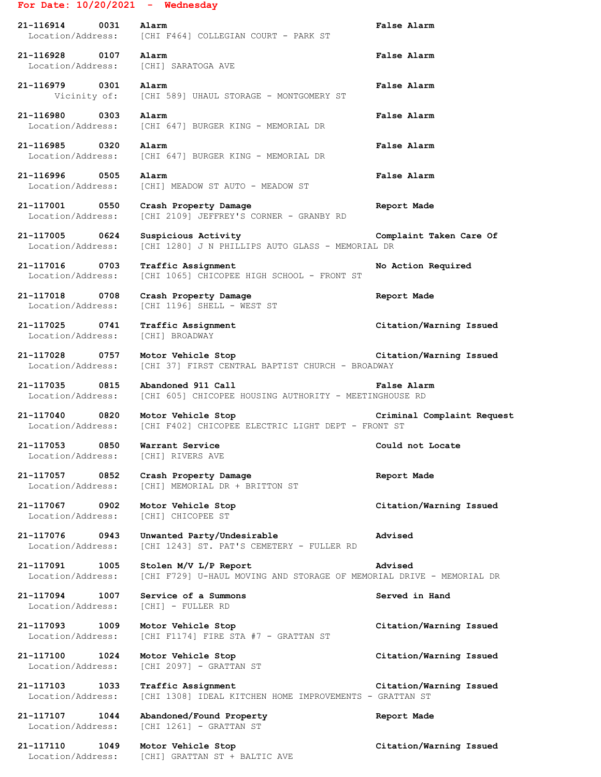## **For Date: 10/20/2021 - Wednesday**

| 21-116914<br>0031<br>Location/Address: | Alarm<br>[CHI F464] COLLEGIAN COURT - PARK ST    | False Alarm |
|----------------------------------------|--------------------------------------------------|-------------|
| 21-116928<br>0107<br>Location/Address: | Alarm<br>[CHI] SARATOGA AVE                      | False Alarm |
| 21-116979<br>0301<br>Vicinity of:      | Alarm<br>[CHI 589] UHAUL STORAGE - MONTGOMERY ST | False Alarm |
| 21-116980 0303<br>Location/Address:    | Alarm<br>[CHI 647] BURGER KING - MEMORIAL DR     | False Alarm |
| 21-116985<br>0320<br>Location/Address: | Alarm<br>[CHI 647] BURGER KING - MEMORIAL DR     | False Alarm |
| 21-116996<br>0505<br>Location/Address: | Alarm<br>[CHI]<br>MEADOW ST AUTO - MEADOW ST     | False Alarm |

Location/Address: [CHI 2109] JEFFREY'S CORNER - GRANBY RD

**21-117001 0550 Crash Property Damage Report Made**

**21-117005 0624 Suspicious Activity Complaint Taken Care Of** Location/Address: [CHI 1280] J N PHILLIPS AUTO GLASS - MEMORIAL DR

**21-117016 0703 Traffic Assignment No Action Required** Location/Address: [CHI 1065] CHICOPEE HIGH SCHOOL - FRONT ST

**21-117018 0708 Crash Property Damage Report Made** Location/Address: [CHI 1196] SHELL - WEST ST

**21-117025 0741 Traffic Assignment Citation/Warning Issued** Location/Address: [CHI] BROADWAY

**21-117028 0757 Motor Vehicle Stop Citation/Warning Issued** Location/Address: [CHI 37] FIRST CENTRAL BAPTIST CHURCH - BROADWAY

**21-117035 0815 Abandoned 911 Call False Alarm** Location/Address: [CHI 605] CHICOPEE HOUSING AUTHORITY - MEETINGHOUSE RD

**21-117040 0820 Motor Vehicle Stop Criminal Complaint Request** Location/Address: [CHI F402] CHICOPEE ELECTRIC LIGHT DEPT - FRONT ST

**21-117053 0850 Warrant Service Could not Locate** Location/Address: [CHI] RIVERS AVE

**21-117057 0852 Crash Property Damage Report Made** Location/Address: [CHI] MEMORIAL DR + BRITTON ST

**21-117067 0902 Motor Vehicle Stop Citation/Warning Issued** Location/Address: [CHI] CHICOPEE ST

**21-117076 0943 Unwanted Party/Undesirable Advised** Location/Address: [CHI 1243] ST. PAT'S CEMETERY - FULLER RD

**21-117091 1005 Stolen M/V L/P Report Advised** Location/Address: [CHI F729] U-HAUL MOVING AND STORAGE OF MEMORIAL DRIVE - MEMORIAL DR

**21-117094 1007 Service of a Summons Served in Hand** Location/Address: [CHI] - FULLER RD

**21-117093 1009 Motor Vehicle Stop Citation/Warning Issued** Location/Address: [CHI F1174] FIRE STA #7 - GRATTAN ST

**21-117100 1024 Motor Vehicle Stop Citation/Warning Issued** Location/Address: [CHI 2097] - GRATTAN ST

**21-117103 1033 Traffic Assignment Citation/Warning Issued** Location/Address: [CHI 1308] IDEAL KITCHEN HOME IMPROVEMENTS - GRATTAN ST

**21-117107 1044 Abandoned/Found Property Report Made** Location/Address: [CHI 1261] - GRATTAN ST

**21-117110 1049 Motor Vehicle Stop Citation/Warning Issued** Location/Address: [CHI] GRATTAN ST + BALTIC AVE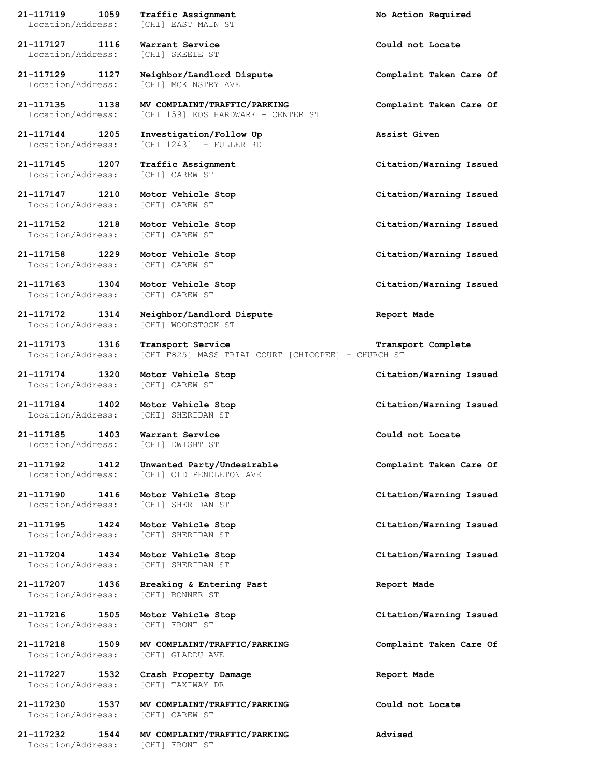**21-117119 1059 Traffic Assignment No Action Required** Location/Address: [CHI] EAST MAIN ST **21-117127 1116 Warrant Service Could not Locate** Location/Address: [CHI] SKEELE ST **21-117129 1127 Neighbor/Landlord Dispute Complaint Taken Care Of** Location/Address: [CHI] MCKINSTRY AVE **21-117135 1138 MV COMPLAINT/TRAFFIC/PARKING Complaint Taken Care Of** Location/Address: [CHI 159] KOS HARDWARE - CENTER ST **21-117144 1205 Investigation/Follow Up Assist Given** [CHI 1243] - FULLER RD **21-117145 1207 Traffic Assignment Citation/Warning Issued** Location/Address: [CHI] CAREW ST **21-117147 1210 Motor Vehicle Stop Citation/Warning Issued** Location/Address: [CHI] CAREW ST **21-117152 1218 Motor Vehicle Stop Citation/Warning Issued** Location/Address: [CHI] CAREW ST **21-117158 1229 Motor Vehicle Stop Citation/Warning Issued** Location/Address: [CHI] CAREW ST **21-117163 1304 Motor Vehicle Stop Citation/Warning Issued** Location/Address: [CHI] CAREW ST **21-117172 1314 Neighbor/Landlord Dispute Report Made** Location/Address: [CHI] WOODSTOCK ST **21-117173 1316 Transport Service Transport Complete** Location/Address: [CHI F825] MASS TRIAL COURT [CHICOPEE] - CHURCH ST **21-117174 1320 Motor Vehicle Stop Citation/Warning Issued** Location/Address: [CHI] CAREW ST **21-117184 1402 Motor Vehicle Stop Citation/Warning Issued** Location/Address: [CHI] SHERIDAN ST **21-117185 1403 Warrant Service Could not Locate** Location/Address: [CHI] DWIGHT ST **21-117192 1412 Unwanted Party/Undesirable Complaint Taken Care Of** Location/Address: [CHI] OLD PENDLETON AVE **21-117190 1416 Motor Vehicle Stop Citation/Warning Issued** Location/Address: [CHI] SHERIDAN ST **21-117195 1424 Motor Vehicle Stop Citation/Warning Issued** Location/Address: [CHI] SHERIDAN ST **21-117204 1434 Motor Vehicle Stop Citation/Warning Issued** Location/Address: [CHI] SHERIDAN ST **21-117207 1436 Breaking & Entering Past Report Made** Location/Address: [CHI] BONNER ST **21-117216 1505 Motor Vehicle Stop Citation/Warning Issued** Location/Address: [CHI] FRONT ST **21-117218 1509 MV COMPLAINT/TRAFFIC/PARKING Complaint Taken Care Of** Location/Address: [CHI] GLADDU AVE **21-117227 1532 Crash Property Damage Report Made** Location/Address: [CHI] TAXIWAY DR **21-117230 1537 MV COMPLAINT/TRAFFIC/PARKING Could not Locate** Location/Address: [CHI] CAREW ST

**21-117232 1544 MV COMPLAINT/TRAFFIC/PARKING Advised**

Location/Address: [CHI] FRONT ST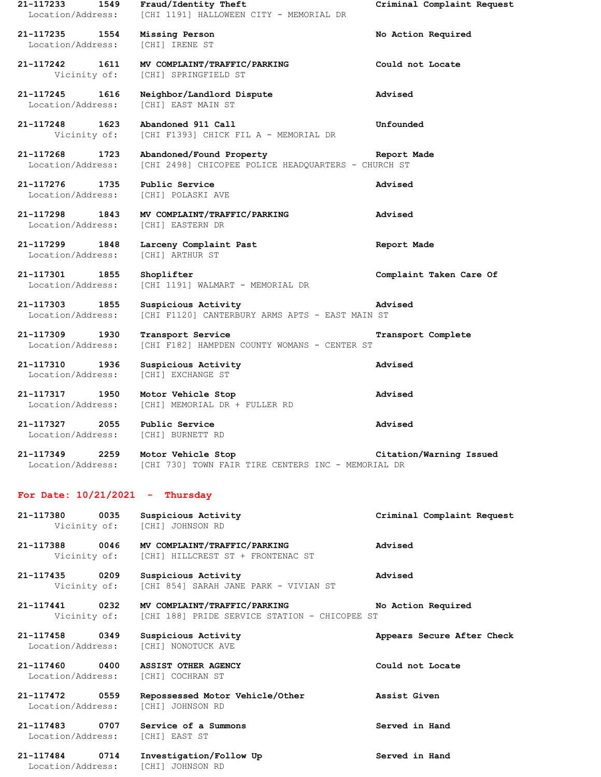| 21-117233<br>Location/Address:      | 1549 | Fraud/Identity Theft<br>[CHI 1191] HALLOWEEN CITY - MEMORIAL DR                            | Criminal Complaint Request |
|-------------------------------------|------|--------------------------------------------------------------------------------------------|----------------------------|
| 21-117235 1554<br>Location/Address: |      | Missing Person<br>[CHI] IRENE ST                                                           | No Action Required         |
| 21-117242 1611<br>Vicinity of:      |      | MV COMPLAINT/TRAFFIC/PARKING<br>[CHI] SPRINGFIELD ST                                       | Could not Locate           |
| 21-117245<br>Location/Address:      | 1616 | Neighbor/Landlord Dispute<br>[CHI] EAST MAIN ST                                            | Advised                    |
| 21-117248 1623<br>Vicinity of:      |      | Abandoned 911 Call<br>[CHI F1393] CHICK FIL A - MEMORIAL DR                                | Unfounded                  |
| 21-117268 1723<br>Location/Address: |      | Abandoned/Found Property<br>[CHI 2498] CHICOPEE POLICE HEADQUARTERS - CHURCH ST            | Report Made                |
| 21-117276 1735<br>Location/Address: |      | Public Service<br>[CHI] POLASKI AVE                                                        | Advised                    |
| 21-117298 1843<br>Location/Address: |      | MV COMPLAINT/TRAFFIC/PARKING<br>[CHI] EASTERN DR                                           | Advised                    |
| 21-117299 1848<br>Location/Address: |      | Larceny Complaint Past<br>[CHI] ARTHUR ST                                                  | Report Made                |
| 21-117301 1855<br>Location/Address: |      | Shoplifter<br>[CHI 1191] WALMART - MEMORIAL DR                                             | Complaint Taken Care Of    |
| 21-117303 1855<br>Location/Address: |      | Suspicious Activity<br>[CHI F1120] CANTERBURY ARMS APTS - EAST MAIN ST                     | Advised                    |
| 21-117309 1930<br>Location/Address: |      | Transport Service<br>[CHI F182] HAMPDEN COUNTY WOMANS - CENTER ST                          | Transport Complete         |
| 21-117310 1936<br>Location/Address: |      | Suspicious Activity<br>[CHI] EXCHANGE ST                                                   | Advised                    |
| 21-117317 1950<br>Location/Address: |      | Motor Vehicle Stop<br>[CHI] MEMORIAL DR + FULLER RD                                        | Advised                    |
| 21-117327<br>Location/Address:      | 2055 | Public Service<br>[CHI] BURNETT RD                                                         | Advised                    |
| 21-117349 2259                      |      | Motor Vehicle Stop<br>Location/Address: [CHI 730] TOWN FAIR TIRE CENTERS INC - MEMORIAL DR | Citation/Warning Issued    |
| For Date: $10/21/2021$ - Thursday   |      |                                                                                            |                            |
| 21-117380 0035<br>Vicinity of:      |      | Suspicious Activity<br>[CHI] JOHNSON RD                                                    | Criminal Complaint Request |
| 21-117388 0046                      |      | MV COMPLAINT/TRAFFIC/PARKING<br>Vicinity of: [CHI] HILLCREST ST + FRONTENAC ST             | Advised                    |
| 21-117435 0209<br>Vicinity of:      |      | Suspicious Activity<br>[CHI 854] SARAH JANE PARK - VIVIAN ST                               | Advised                    |
| 21-117441 0232<br>Vicinity of:      |      | MV COMPLAINT/TRAFFIC/PARKING<br>[CHI 188] PRIDE SERVICE STATION - CHICOPEE ST              | No Action Required         |
| 21-117458 0349<br>Location/Address: |      | Suspicious Activity<br>[CHI] NONOTUCK AVE                                                  | Appears Secure After Check |
| 21-117460 0400<br>Location/Address: |      | ASSIST OTHER AGENCY<br>[CHI] COCHRAN ST                                                    | Could not Locate           |
| 21-117472 0559<br>Location/Address: |      | Repossessed Motor Vehicle/Other<br>[CHI] JOHNSON RD                                        | Assist Given               |
| 21-117483 0707<br>Location/Address: |      | Service of a Summons<br>[CHI] EAST ST                                                      | Served in Hand             |
| 21-117484 0714<br>Location/Address: |      | Investigation/Follow Up<br>[CHI] JOHNSON RD                                                | Served in Hand             |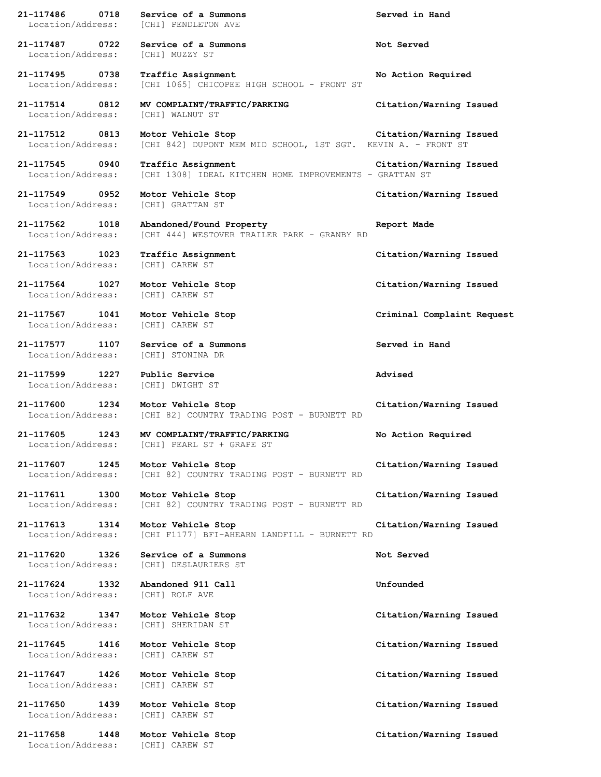**21-117486 0718 Service of a Summons Served in Hand** Location/Address: [CHI] PENDLETON AVE **21-117487 0722 Service of a Summons Not Served** Location/Address: [CHI] MUZZY ST **21-117495 0738 Traffic Assignment No Action Required** Location/Address: [CHI 1065] CHICOPEE HIGH SCHOOL - FRONT ST **21-117514 0812 MV COMPLAINT/TRAFFIC/PARKING Citation/Warning Issued** Location/Address: [CHI] WALNUT ST **21-117512 0813 Motor Vehicle Stop Citation/Warning Issued** Location/Address: [CHI 842] DUPONT MEM MID SCHOOL, 1ST SGT. KEVIN A. - FRONT ST **21-117545 0940 Traffic Assignment Citation/Warning Issued** Location/Address: [CHI 1308] IDEAL KITCHEN HOME IMPROVEMENTS - GRATTAN ST **21-117549 0952 Motor Vehicle Stop Citation/Warning Issued** Location/Address: [CHI] GRATTAN ST **21-117562 1018 Abandoned/Found Property Report Made** Location/Address: [CHI 444] WESTOVER TRAILER PARK - GRANBY RD **21-117563 1023 Traffic Assignment Citation/Warning Issued** Location/Address: [CHI] CAREW ST **21-117564 1027 Motor Vehicle Stop Citation/Warning Issued** Location/Address: [CHI] CAREW ST **21-117567 1041 Motor Vehicle Stop Criminal Complaint Request** Location/Address: [CHI] CAREW ST **21-117577 1107 Service of a Summons Served in Hand** Location/Address: [CHI] STONINA DR **21-117599 1227 Public Service Advised** Location/Address: [CHI] DWIGHT ST **21-117600 1234 Motor Vehicle Stop Citation/Warning Issued** Location/Address: [CHI 82] COUNTRY TRADING POST - BURNETT RD **21-117605 1243 MV COMPLAINT/TRAFFIC/PARKING No Action Required** Location/Address: [CHI] PEARL ST + GRAPE ST **21-117607 1245 Motor Vehicle Stop Citation/Warning Issued** Location/Address: [CHI 82] COUNTRY TRADING POST - BURNETT RD **21-117611 1300 Motor Vehicle Stop Citation/Warning Issued** Location/Address: [CHI 82] COUNTRY TRADING POST - BURNETT RD **21-117613 1314 Motor Vehicle Stop Citation/Warning Issued** Location/Address: [CHI F1177] BFI-AHEARN LANDFILL - BURNETT RD **21-117620 1326 Service of a Summons Not Served** Location/Address: [CHI] DESLAURIERS ST **21-117624 1332 Abandoned 911 Call Unfounded** Location/Address: [CHI] ROLF AVE **21-117632 1347 Motor Vehicle Stop Citation/Warning Issued** Location/Address: [CHI] SHERIDAN ST **21-117645 1416 Motor Vehicle Stop Citation/Warning Issued** Location/Address: [CHI] CAREW ST **21-117647 1426 Motor Vehicle Stop Citation/Warning Issued** Location/Address: [CHI] CAREW ST **21-117650 1439 Motor Vehicle Stop Citation/Warning Issued** Location/Address: [CHI] CAREW ST **21-117658 1448 Motor Vehicle Stop Citation/Warning Issued** Location/Address: [CHI] CAREW ST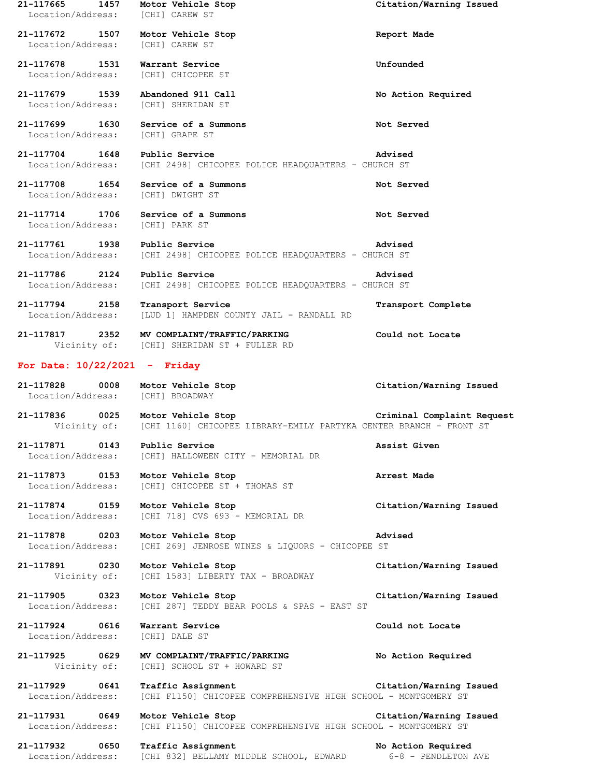**21-117665 1457 Motor Vehicle Stop Citation/Warning Issued** Location/Address: [CHI] CAREW ST **21-117672 1507 Motor Vehicle Stop Report Made** Location/Address: [CHI] CAREW ST **21-117678 1531 Warrant Service Unfounded** Location/Address: [CHI] CHICOPEE ST **21-117679 1539 Abandoned 911 Call No Action Required** Location/Address: [CHI] SHERIDAN ST **21-117699 1630 Service of a Summons Not Served** Location/Address: [CHI] GRAPE ST **21-117704 1648 Public Service Advised** Location/Address: [CHI 2498] CHICOPEE POLICE HEADQUARTERS - CHURCH ST **21-117708 1654 Service of a Summons Not Served** Location/Address: [CHI] DWIGHT ST **21-117714 1706 Service of a Summons Not Served** Location/Address: [CHI] PARK ST **21-117761 1938 Public Service Advised** Location/Address: [CHI 2498] CHICOPEE POLICE HEADQUARTERS - CHURCH ST **21-117786 2124 Public Service Advised** Location/Address: [CHI 2498] CHICOPEE POLICE HEADQUARTERS - CHURCH ST **21-117794 2158 Transport Service Transport Complete** Location/Address: [LUD 1] HAMPDEN COUNTY JAIL - RANDALL RD **21-117817 2352 MV COMPLAINT/TRAFFIC/PARKING Could not Locate** Vicinity of: [CHI] SHERIDAN ST + FULLER RD **For Date: 10/22/2021 - Friday 21-117828 0008 Motor Vehicle Stop Citation/Warning Issued** Location/Address: [CHI] BROADWAY **21-117836 0025 Motor Vehicle Stop Criminal Complaint Request** Vicinity of: [CHI 1160] CHICOPEE LIBRARY-EMILY PARTYKA CENTER BRANCH - FRONT ST **21-117871 0143 Public Service Assist Given** Location/Address: [CHI] HALLOWEEN CITY - MEMORIAL DR **21-117873 0153 Motor Vehicle Stop Arrest Made** Location/Address: [CHI] CHICOPEE ST + THOMAS ST **21-117874 0159 Motor Vehicle Stop Citation/Warning Issued** Location/Address: [CHI 718] CVS 693 - MEMORIAL DR **21-117878 0203 Motor Vehicle Stop Advised** Location/Address: [CHI 269] JENROSE WINES & LIQUORS - CHICOPEE ST **21-117891 0230 Motor Vehicle Stop Citation/Warning Issued** Vicinity of: [CHI 1583] LIBERTY TAX - BROADWAY **21-117905 0323 Motor Vehicle Stop Citation/Warning Issued** Location/Address: [CHI 287] TEDDY BEAR POOLS & SPAS - EAST ST **21-117924 0616 Warrant Service Could not Locate** Location/Address: [CHI] DALE ST **21-117925 0629 MV COMPLAINT/TRAFFIC/PARKING No Action Required** Vicinity of: [CHI] SCHOOL ST + HOWARD ST **21-117929 0641 Traffic Assignment Citation/Warning Issued** Location/Address: [CHI F1150] CHICOPEE COMPREHENSIVE HIGH SCHOOL - MONTGOMERY ST **21-117931 0649 Motor Vehicle Stop Citation/Warning Issued** Location/Address: [CHI F1150] CHICOPEE COMPREHENSIVE HIGH SCHOOL - MONTGOMERY ST **21-117932 0650 Traffic Assignment No Action Required** Location/Address: [CHI 832] BELLAMY MIDDLE SCHOOL, EDWARD 6-8 - PENDLETON AVE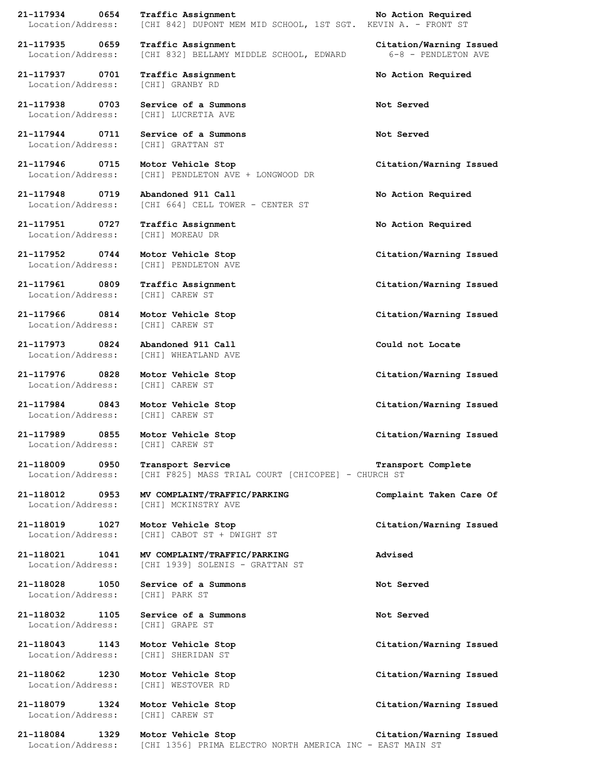**21-117934 0654 Traffic Assignment No Action Required**

**21-117937 0701 Traffic Assignment No Action Required** Location/Address: [CHI] GRANBY RD

**21-117938 0703 Service of a Summons Not Served**

Location/Address: [CHI] GRATTAN ST

**21-117951 0727 Traffic Assignment No Action Required** Location/Address: [CHI] MOREAU DR

Location/Address: [CHI] PENDLETON AVE

Location/Address: [CHI] CAREW ST

Location/Address: [CHI] CAREW ST

**21-117973 0824 Abandoned 911 Call Could not Locate**

Location/Address: [CHI] CAREW ST

**21-117984 0843 Motor Vehicle Stop Citation/Warning Issued** Location/Address: [CHI] CAREW ST

Location/Address: [CHI] CAREW ST

Location/Address: [CHI] PARK ST

Location/Address: [CHI] SHERIDAN ST

**21-118079 1324 Motor Vehicle Stop Citation/Warning Issued** Location/Address: [CHI] CAREW ST

Location/Address: [CHI 842] DUPONT MEM MID SCHOOL, 1ST SGT. KEVIN A. - FRONT ST

**21-117935 0659 Traffic Assignment Citation/Warning Issued** Location/Address: [CHI 832] BELLAMY MIDDLE SCHOOL, EDWARD 6-8 - PENDLETON AVE

Location/Address: [CHI] LUCRETIA AVE

**21-117944 0711 Service of a Summons Not Served**

**21-117946 0715 Motor Vehicle Stop Citation/Warning Issued** Location/Address: [CHI] PENDLETON AVE + LONGWOOD DR

**21-117948 0719 Abandoned 911 Call No Action Required** Location/Address: [CHI 664] CELL TOWER - CENTER ST

**21-117952 0744 Motor Vehicle Stop Citation/Warning Issued**

**21-117961 0809 Traffic Assignment Citation/Warning Issued**

Location/Address: [CHI] WHEATLAND AVE

Location/Address: [CHI F825] MASS TRIAL COURT [CHICOPEE] - CHURCH ST

Location/Address: [CHI] MCKINSTRY AVE

**21-118019 1027 Motor Vehicle Stop Citation/Warning Issued** Location/Address: [CHI] CABOT ST + DWIGHT ST

**21-118021 1041 MV COMPLAINT/TRAFFIC/PARKING Advised** Location/Address: [CHI 1939] SOLENIS - GRATTAN ST

**21-118028 1050 Service of a Summons Not Served**

**21-118032 1105 Service of a Summons Not Served** Location/Address: [CHI] GRAPE ST

Location/Address: [CHI] WESTOVER RD

**21-117966 0814 Motor Vehicle Stop Citation/Warning Issued**

**21-117976 0828 Motor Vehicle Stop Citation/Warning Issued**

**21-117989 0855 Motor Vehicle Stop Citation/Warning Issued**

**21-118009 0950 Transport Service Transport Complete**

**21-118012 0953 MV COMPLAINT/TRAFFIC/PARKING Complaint Taken Care Of**

**21-118043 1143 Motor Vehicle Stop Citation/Warning Issued**

**21-118062 1230 Motor Vehicle Stop Citation/Warning Issued**

**21-118084 1329 Motor Vehicle Stop Citation/Warning Issued** Location/Address: [CHI 1356] PRIMA ELECTRO NORTH AMERICA INC - EAST MAIN ST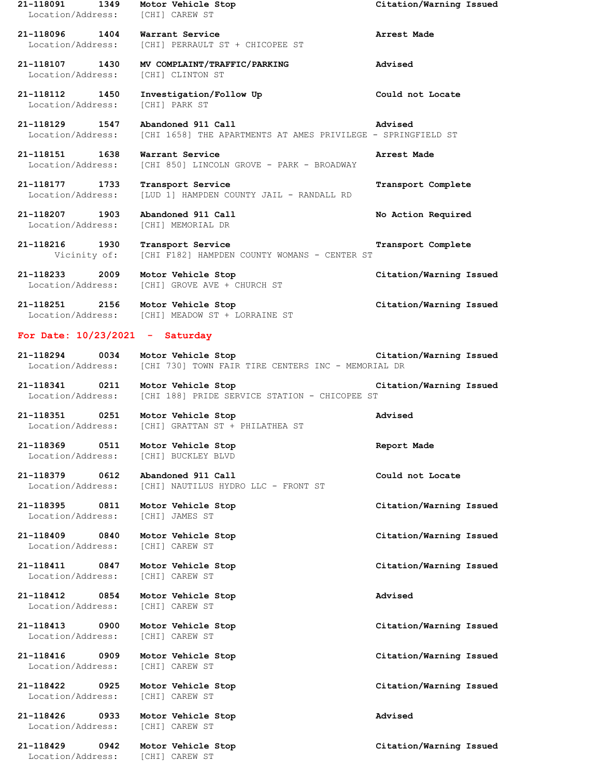**21-118091 1349 Motor Vehicle Stop Citation/Warning Issued** Location/Address: [CHI] CAREW ST **21-118096 1404 Warrant Service Arrest Made** Location/Address: [CHI] PERRAULT ST + CHICOPEE ST **21-118107 1430 MV COMPLAINT/TRAFFIC/PARKING Advised** Location/Address: [CHI] CLINTON ST **21-118112 1450 Investigation/Follow Up Could not Locate** Location/Address: [CHI] PARK ST **21-118129 1547 Abandoned 911 Call Advised** [CHI 1658] THE APARTMENTS AT AMES PRIVILEGE - SPRINGFIELD ST **21-118151 1638 Warrant Service Arrest Made** Location/Address: [CHI 850] LINCOLN GROVE - PARK - BROADWAY **21-118177 1733 Transport Service Transport Complete** Location/Address: [LUD 1] HAMPDEN COUNTY JAIL - RANDALL RD **21-118207 1903 Abandoned 911 Call No Action Required** Location/Address: [CHI] MEMORIAL DR **21-118216 1930 Transport Service Transport Complete** Vicinity of: [CHI F182] HAMPDEN COUNTY WOMANS - CENTER ST **21-118233 2009 Motor Vehicle Stop Citation/Warning Issued** Location/Address: [CHI] GROVE AVE + CHURCH ST **21-118251 2156 Motor Vehicle Stop Citation/Warning Issued** Location/Address: [CHI] MEADOW ST + LORRAINE ST **For Date: 10/23/2021 - Saturday 21-118294 0034 Motor Vehicle Stop Citation/Warning Issued** Location/Address: [CHI 730] TOWN FAIR TIRE CENTERS INC - MEMORIAL DR **21-118341 0211 Motor Vehicle Stop Citation/Warning Issued** Location/Address: [CHI 188] PRIDE SERVICE STATION - CHICOPEE ST **21-118351 0251 Motor Vehicle Stop Advised** Location/Address: [CHI] GRATTAN ST + PHILATHEA ST **21-118369 0511 Motor Vehicle Stop Report Made** Location/Address: [CHI] BUCKLEY BLVD **21-118379 0612 Abandoned 911 Call Could not Locate** Location/Address: [CHI] NAUTILUS HYDRO LLC - FRONT ST **21-118395 0811 Motor Vehicle Stop Citation/Warning Issued** Location/Address: [CHI] JAMES ST **21-118409 0840 Motor Vehicle Stop Citation/Warning Issued** Location/Address: [CHI] CAREW ST **21-118411 0847 Motor Vehicle Stop Citation/Warning Issued** Location/Address: [CHI] CAREW ST **21-118412 0854 Motor Vehicle Stop Advised** Location/Address: [CHI] CAREW ST **21-118413 0900 Motor Vehicle Stop Citation/Warning Issued** Location/Address: [CHI] CAREW ST **21-118416 0909 Motor Vehicle Stop Citation/Warning Issued** Location/Address: [CHI] CAREW ST **21-118422 0925 Motor Vehicle Stop Citation/Warning Issued** Location/Address: [CHI] CAREW ST **21-118426 0933 Motor Vehicle Stop Advised** Location/Address: [CHI] CAREW ST **21-118429 0942 Motor Vehicle Stop Citation/Warning Issued** Location/Address: [CHI] CAREW ST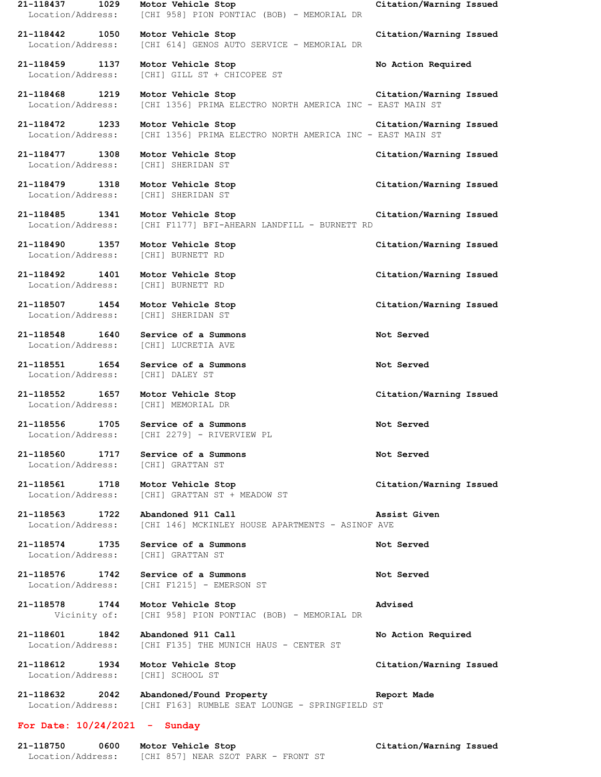**21-118437 1029 Motor Vehicle Stop Citation/Warning Issued** Location/Address: [CHI 958] PION PONTIAC (BOB) - MEMORIAL DR **21-118442 1050 Motor Vehicle Stop Citation/Warning Issued** Location/Address: [CHI 614] GENOS AUTO SERVICE - MEMORIAL DR **21-118459 1137 Motor Vehicle Stop No Action Required** Location/Address: [CHI] GILL ST + CHICOPEE ST **21-118468 1219 Motor Vehicle Stop Citation/Warning Issued** Location/Address: [CHI 1356] PRIMA ELECTRO NORTH AMERICA INC - EAST MAIN ST **21-118472 1233 Motor Vehicle Stop Citation/Warning Issued** [CHI 1356] PRIMA ELECTRO NORTH AMERICA INC - EAST MAIN ST **21-118477 1308 Motor Vehicle Stop Citation/Warning Issued** Location/Address: [CHI] SHERIDAN ST **21-118479 1318 Motor Vehicle Stop Citation/Warning Issued** Location/Address: [CHI] SHERIDAN ST **21-118485 1341 Motor Vehicle Stop Citation/Warning Issued** Location/Address: [CHI F1177] BFI-AHEARN LANDFILL - BURNETT RD **21-118490 1357 Motor Vehicle Stop Citation/Warning Issued** Location/Address: [CHI] BURNETT RD **21-118492 1401 Motor Vehicle Stop Citation/Warning Issued** Location/Address: [CHI] BURNETT RD **21-118507 1454 Motor Vehicle Stop Citation/Warning Issued** Location/Address: [CHI] SHERIDAN ST **21-118548 1640 Service of a Summons Not Served** Location/Address: [CHI] LUCRETIA AVE **21-118551 1654 Service of a Summons Not Served** Location/Address: [CHI] DALEY ST **21-118552 1657 Motor Vehicle Stop Citation/Warning Issued** Location/Address: [CHI] MEMORIAL DR **21-118556 1705 Service of a Summons Not Served** Location/Address: [CHI 2279] - RIVERVIEW PL **21-118560 1717 Service of a Summons Not Served** Location/Address: [CHI] GRATTAN ST **21-118561 1718 Motor Vehicle Stop Citation/Warning Issued** Location/Address: [CHI] GRATTAN ST + MEADOW ST **21-118563 1722 Abandoned 911 Call Assist Given** Location/Address: [CHI 146] MCKINLEY HOUSE APARTMENTS - ASINOF AVE **21-118574 1735 Service of a Summons Not Served** Location/Address: [CHI] GRATTAN ST **21-118576 1742 Service of a Summons Not Served** Location/Address: [CHI F1215] - EMERSON ST **21-118578 1744 Motor Vehicle Stop Advised** Vicinity of: [CHI 958] PION PONTIAC (BOB) - MEMORIAL DR **21-118601 1842 Abandoned 911 Call No Action Required** Location/Address: [CHI F135] THE MUNICH HAUS - CENTER ST **21-118612 1934 Motor Vehicle Stop Citation/Warning Issued** Location/Address: [CHI] SCHOOL ST **21-118632 2042 Abandoned/Found Property Report Made** Location/Address: [CHI F163] RUMBLE SEAT LOUNGE - SPRINGFIELD ST **For Date: 10/24/2021 - Sunday 21-118750 0600 Motor Vehicle Stop Citation/Warning Issued**

Location/Address: [CHI 857] NEAR SZOT PARK - FRONT ST